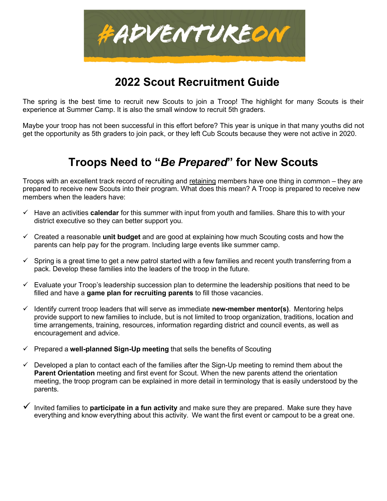

# **2022 Scout Recruitment Guide**

The spring is the best time to recruit new Scouts to join a Troop! The highlight for many Scouts is their experience at Summer Camp. It is also the small window to recruit 5th graders.

Maybe your troop has not been successful in this effort before? This year is unique in that many youths did not get the opportunity as 5th graders to join pack, or they left Cub Scouts because they were not active in 2020.

## **Troops Need to "***Be Prepared***" for New Scouts**

Troops with an excellent track record of recruiting and retaining members have one thing in common – they are prepared to receive new Scouts into their program. What does this mean? A Troop is prepared to receive new members when the leaders have:

- Have an activities **calendar** for this summer with input from youth and families. Share this to with your district executive so they can better support you.
- Created a reasonable **unit budget** and are good at explaining how much Scouting costs and how the parents can help pay for the program. Including large events like summer camp.
- $\checkmark$  Spring is a great time to get a new patrol started with a few families and recent youth transferring from a pack. Develop these families into the leaders of the troop in the future.
- $\checkmark$  Evaluate your Troop's leadership succession plan to determine the leadership positions that need to be filled and have a **game plan for recruiting parents** to fill those vacancies.
- $\checkmark$  Identify current troop leaders that will serve as immediate **new-member mentor(s)**. Mentoring helps provide support to new families to include, but is not limited to troop organization, traditions, location and time arrangements, training, resources, information regarding district and council events, as well as encouragement and advice.
- Prepared a **well-planned Sign-Up meeting** that sells the benefits of Scouting
- $\checkmark$  Developed a plan to contact each of the families after the Sign-Up meeting to remind them about the **Parent Orientation** meeting and first event for Scout. When the new parents attend the orientation meeting, the troop program can be explained in more detail in terminology that is easily understood by the parents.
- Invited families to **participate in a fun activity** and make sure they are prepared. Make sure they have everything and know everything about this activity. We want the first event or campout to be a great one.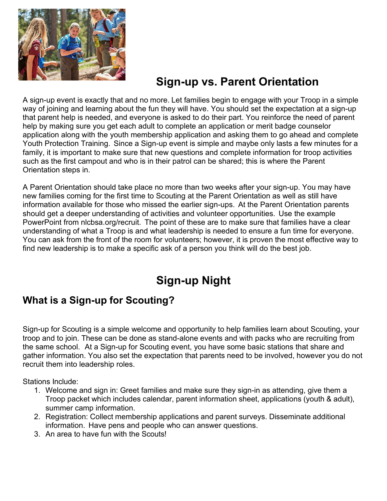

# **Sign-up vs. Parent Orientation**

A sign-up event is exactly that and no more. Let families begin to engage with your Troop in a simple way of joining and learning about the fun they will have. You should set the expectation at a sign-up that parent help is needed, and everyone is asked to do their part. You reinforce the need of parent help by making sure you get each adult to complete an application or merit badge counselor application along with the youth membership application and asking them to go ahead and complete Youth Protection Training. Since a Sign-up event is simple and maybe only lasts a few minutes for a family, it is important to make sure that new questions and complete information for troop activities such as the first campout and who is in their patrol can be shared; this is where the Parent Orientation steps in.

A Parent Orientation should take place no more than two weeks after your sign-up. You may have new families coming for the first time to Scouting at the Parent Orientation as well as still have information available for those who missed the earlier sign-ups. At the Parent Orientation parents should get a deeper understanding of activities and volunteer opportunities. Use the example PowerPoint from nlcbsa.org/recruit. The point of these are to make sure that families have a clear understanding of what a Troop is and what leadership is needed to ensure a fun time for everyone. You can ask from the front of the room for volunteers; however, it is proven the most effective way to find new leadership is to make a specific ask of a person you think will do the best job.

# **Sign-up Night**

## **What is a Sign-up for Scouting?**

Sign-up for Scouting is a simple welcome and opportunity to help families learn about Scouting, your troop and to join. These can be done as stand-alone events and with packs who are recruiting from the same school. At a Sign-up for Scouting event, you have some basic stations that share and gather information. You also set the expectation that parents need to be involved, however you do not recruit them into leadership roles.

Stations Include:

- 1. Welcome and sign in: Greet families and make sure they sign-in as attending, give them a Troop packet which includes calendar, parent information sheet, applications (youth & adult), summer camp information.
- 2. Registration: Collect membership applications and parent surveys. Disseminate additional information. Have pens and people who can answer questions.
- 3. An area to have fun with the Scouts!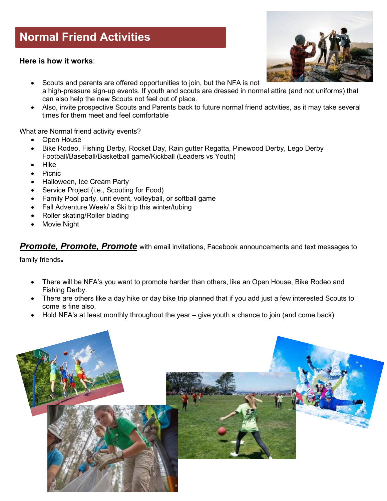# **Normal Friend Activities**

**Here is how it works**:



- Scouts and parents are offered opportunities to join, but the NFA is not a high-pressure sign-up events. If youth and scouts are dressed in normal attire (and not uniforms) that can also help the new Scouts not feel out of place.
- Also, invite prospective Scouts and Parents back to future normal friend actvities, as it may take several times for them meet and feel comfortable

What are Normal friend activity events?

- Open House
- Bike Rodeo, Fishing Derby, Rocket Day, Rain gutter Regatta, Pinewood Derby, Lego Derby Football/Baseball/Basketball game/Kickball (Leaders vs Youth)
- Hike
- Picnic
- Halloween, Ice Cream Party
- Service Project (i.e., Scouting for Food)
- Family Pool party, unit event, volleyball, or softball game
- Fall Adventure Week/ a Ski trip this winter/tubing
- Roller skating/Roller blading
- **Movie Night**

*Promote, Promote, Promote* with email invitations, Facebook announcements and text messages to

family friends**.** 

- There will be NFA's you want to promote harder than others, like an Open House, Bike Rodeo and Fishing Derby.
- There are others like a day hike or day bike trip planned that if you add just a few interested Scouts to come is fine also.
- Hold NFA's at least monthly throughout the year give youth a chance to join (and come back)

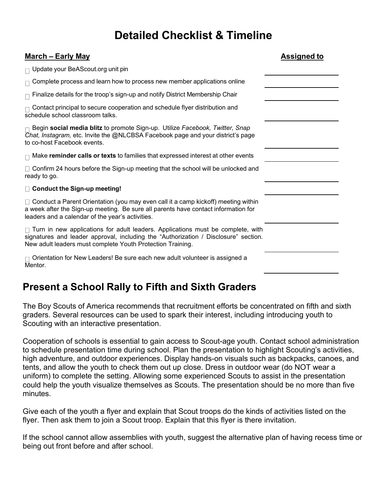# **Detailed Checklist & Timeline**

| <u> March – Early May</u>                                                                                                                                                                                                                   | <b>Assigned to</b> |
|---------------------------------------------------------------------------------------------------------------------------------------------------------------------------------------------------------------------------------------------|--------------------|
| $\Box$ Update your BeAScout.org unit pin                                                                                                                                                                                                    |                    |
| $\Box$ Complete process and learn how to process new member applications online                                                                                                                                                             |                    |
| $\sqcap$ Finalize details for the troop's sign-up and notify District Membership Chair                                                                                                                                                      |                    |
| $\Box$ Contact principal to secure cooperation and schedule flyer distribution and<br>schedule school classroom talks.                                                                                                                      |                    |
| $\Box$ Begin <b>social media blitz</b> to promote Sign-up. Utilize <i>Facebook, Twitter, Snap</i><br>Chat, Instagram, etc. Invite the @NLCBSA Facebook page and your district's page<br>to co-host Facebook events.                         |                    |
| $\Box$ Make reminder calls or texts to families that expressed interest at other events                                                                                                                                                     |                    |
| $\Box$ Confirm 24 hours before the Sign-up meeting that the school will be unlocked and<br>ready to go.                                                                                                                                     |                    |
| □ Conduct the Sign-up meeting!                                                                                                                                                                                                              |                    |
| □ Conduct a Parent Orientation (you may even call it a camp kickoff) meeting within<br>a week after the Sign-up meeting. Be sure all parents have contact information for<br>leaders and a calendar of the year's activities.               |                    |
| $\Box$ Turn in new applications for adult leaders. Applications must be complete, with<br>signatures and leader approval, including the "Authorization / Disclosure" section.<br>New adult leaders must complete Youth Protection Training. |                    |
| $\sqcap$ Orientation for New Leaders! Be sure each new adult volunteer is assigned a<br>Mentor.                                                                                                                                             |                    |

## **Present a School Rally to Fifth and Sixth Graders**

The Boy Scouts of America recommends that recruitment efforts be concentrated on fifth and sixth graders. Several resources can be used to spark their interest, including introducing youth to Scouting with an interactive presentation.

Cooperation of schools is essential to gain access to Scout-age youth. Contact school administration to schedule presentation time during school. Plan the presentation to highlight Scouting's activities, high adventure, and outdoor experiences. Display hands-on visuals such as backpacks, canoes, and tents, and allow the youth to check them out up close. Dress in outdoor wear (do NOT wear a uniform) to complete the setting. Allowing some experienced Scouts to assist in the presentation could help the youth visualize themselves as Scouts. The presentation should be no more than five minutes.

Give each of the youth a flyer and explain that Scout troops do the kinds of activities listed on the flyer. Then ask them to join a Scout troop. Explain that this flyer is there invitation.

If the school cannot allow assemblies with youth, suggest the alternative plan of having recess time or being out front before and after school.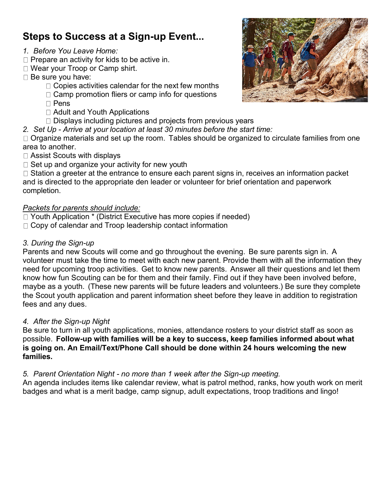## **Steps to Success at a Sign-up Event...**

- *1. Before You Leave Home:*
- $\Box$  Prepare an activity for kids to be active in.
- □ Wear your Troop or Camp shirt.
- $\Box$  Be sure you have:
	- $\Box$  Copies activities calendar for the next few months
	- $\Box$  Camp promotion fliers or camp info for questions
	- $\Box$  Pens
	- □ Adult and Youth Applications
	- $\Box$  Displays including pictures and projects from previous years
- *2. Set Up Arrive at your location at least 30 minutes before the start time:*

 $\Box$  Organize materials and set up the room. Tables should be organized to circulate families from one area to another.

- Assist Scouts with displays
- $\Box$  Set up and organize your activity for new youth

 $\Box$  Station a greeter at the entrance to ensure each parent signs in, receives an information packet and is directed to the appropriate den leader or volunteer for brief orientation and paperwork completion.

### *Packets for parents should include:*

- □ Youth Application \* (District Executive has more copies if needed)
- $\Box$  Copy of calendar and Troop leadership contact information

### *3. During the Sign-up*

Parents and new Scouts will come and go throughout the evening. Be sure parents sign in. A volunteer must take the time to meet with each new parent. Provide them with all the information they need for upcoming troop activities. Get to know new parents. Answer all their questions and let them know how fun Scouting can be for them and their family. Find out if they have been involved before, maybe as a youth. (These new parents will be future leaders and volunteers.) Be sure they complete the Scout youth application and parent information sheet before they leave in addition to registration fees and any dues.

#### *4. After the Sign-up Night*

Be sure to turn in all youth applications, monies, attendance rosters to your district staff as soon as possible. **Follow-up with families will be a key to success, keep families informed about what is going on. An Email/Text/Phone Call should be done within 24 hours welcoming the new families.**

#### *5. Parent Orientation Night - no more than 1 week after the Sign-up meeting.*

An agenda includes items like calendar review, what is patrol method, ranks, how youth work on merit badges and what is a merit badge, camp signup, adult expectations, troop traditions and lingo!